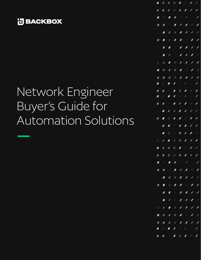

# Network Engineer Buyer's Guide for Automation Solutions

|                |                | <b>THEFFFFF</b>                                                                                                                                                                                                                                                                                                                                                                                                                    |                          |                                                                                                                                                                                                                                                                                                                                                                                                                                                                                                                                             |                         |                          |
|----------------|----------------|------------------------------------------------------------------------------------------------------------------------------------------------------------------------------------------------------------------------------------------------------------------------------------------------------------------------------------------------------------------------------------------------------------------------------------|--------------------------|---------------------------------------------------------------------------------------------------------------------------------------------------------------------------------------------------------------------------------------------------------------------------------------------------------------------------------------------------------------------------------------------------------------------------------------------------------------------------------------------------------------------------------------------|-------------------------|--------------------------|
|                |                | ---- <i>------</i>                                                                                                                                                                                                                                                                                                                                                                                                                 |                          |                                                                                                                                                                                                                                                                                                                                                                                                                                                                                                                                             |                         |                          |
| $\blacksquare$ | $\blacksquare$ |                                                                                                                                                                                                                                                                                                                                                                                                                                    |                          | $\begin{array}{c cccccc} \hline \hline \end{array} \qquad \qquad \begin{array}{c cccccc} \hline \end{array} \qquad \qquad \begin{array}{c cccccc} \hline \end{array} \qquad \qquad \begin{array}{c cccccc} \hline \end{array} \qquad \qquad \begin{array}{c cccccc} \hline \end{array} \qquad \qquad \begin{array}{c cccccc} \hline \end{array} \qquad \qquad \begin{array}{c cccccc} \hline \end{array} \qquad \qquad \begin{array}{c cccccc} \hline \end{array} \qquad \qquad \begin{array}{c cccccc} \hline \end{array} \qquad \qquad \$ |                         |                          |
|                |                | <b>THIII</b>                                                                                                                                                                                                                                                                                                                                                                                                                       |                          |                                                                                                                                                                                                                                                                                                                                                                                                                                                                                                                                             |                         |                          |
|                |                | <b>THEFFFF</b>                                                                                                                                                                                                                                                                                                                                                                                                                     |                          |                                                                                                                                                                                                                                                                                                                                                                                                                                                                                                                                             |                         |                          |
|                |                | <b>TITII</b>                                                                                                                                                                                                                                                                                                                                                                                                                       |                          |                                                                                                                                                                                                                                                                                                                                                                                                                                                                                                                                             |                         |                          |
|                |                |                                                                                                                                                                                                                                                                                                                                                                                                                                    |                          |                                                                                                                                                                                                                                                                                                                                                                                                                                                                                                                                             |                         |                          |
| Π.             |                |                                                                                                                                                                                                                                                                                                                                                                                                                                    |                          |                                                                                                                                                                                                                                                                                                                                                                                                                                                                                                                                             |                         |                          |
| $\blacksquare$ |                |                                                                                                                                                                                                                                                                                                                                                                                                                                    |                          |                                                                                                                                                                                                                                                                                                                                                                                                                                                                                                                                             |                         |                          |
|                |                | <b>.</b>                                                                                                                                                                                                                                                                                                                                                                                                                           |                          |                                                                                                                                                                                                                                                                                                                                                                                                                                                                                                                                             |                         |                          |
|                |                | <b>THEFIAN</b>                                                                                                                                                                                                                                                                                                                                                                                                                     |                          |                                                                                                                                                                                                                                                                                                                                                                                                                                                                                                                                             |                         |                          |
|                |                | ---- <i>-----</i>                                                                                                                                                                                                                                                                                                                                                                                                                  |                          |                                                                                                                                                                                                                                                                                                                                                                                                                                                                                                                                             |                         |                          |
|                |                | $\begin{array}{c cccccc} \hline \textbf{I} & \textbf{I} & \textbf{I} & \textbf{I} & \textbf{I} & \textbf{I} & \textbf{I} & \textbf{I} & \textbf{I} & \textbf{I} & \textbf{I} & \textbf{I} & \textbf{I} & \textbf{I} & \textbf{I} & \textbf{I} & \textbf{I} & \textbf{I} & \textbf{I} & \textbf{I} & \textbf{I} & \textbf{I} & \textbf{I} & \textbf{I} & \textbf{I} & \textbf{I} & \textbf{I} & \textbf{I} & \textbf{I} & \textbf{$ |                          |                                                                                                                                                                                                                                                                                                                                                                                                                                                                                                                                             |                         |                          |
|                |                | <b>THEFFFFF</b>                                                                                                                                                                                                                                                                                                                                                                                                                    |                          |                                                                                                                                                                                                                                                                                                                                                                                                                                                                                                                                             |                         |                          |
|                |                | 1111111                                                                                                                                                                                                                                                                                                                                                                                                                            |                          |                                                                                                                                                                                                                                                                                                                                                                                                                                                                                                                                             |                         |                          |
|                |                |                                                                                                                                                                                                                                                                                                                                                                                                                                    |                          |                                                                                                                                                                                                                                                                                                                                                                                                                                                                                                                                             |                         |                          |
|                |                |                                                                                                                                                                                                                                                                                                                                                                                                                                    |                          |                                                                                                                                                                                                                                                                                                                                                                                                                                                                                                                                             |                         |                          |
|                |                | <b>THEFFFF</b>                                                                                                                                                                                                                                                                                                                                                                                                                     |                          |                                                                                                                                                                                                                                                                                                                                                                                                                                                                                                                                             |                         |                          |
| F.             |                | <b>. .</b> <i>. .</i>                                                                                                                                                                                                                                                                                                                                                                                                              |                          |                                                                                                                                                                                                                                                                                                                                                                                                                                                                                                                                             |                         |                          |
|                |                |                                                                                                                                                                                                                                                                                                                                                                                                                                    |                          |                                                                                                                                                                                                                                                                                                                                                                                                                                                                                                                                             |                         |                          |
|                |                | -- <i>----</i> --                                                                                                                                                                                                                                                                                                                                                                                                                  |                          |                                                                                                                                                                                                                                                                                                                                                                                                                                                                                                                                             |                         | $\sqrt{2}$               |
|                |                | ----------                                                                                                                                                                                                                                                                                                                                                                                                                         |                          |                                                                                                                                                                                                                                                                                                                                                                                                                                                                                                                                             |                         |                          |
|                |                | <b>TTTTT/</b>                                                                                                                                                                                                                                                                                                                                                                                                                      |                          |                                                                                                                                                                                                                                                                                                                                                                                                                                                                                                                                             |                         | $\overline{\phantom{a}}$ |
|                |                | $\begin{array}{c cccccc} \hline \textbf{I} & \textbf{I} & \textbf{I} & \textbf{I} & \textbf{I} & \textbf{I} & \textbf{I} & \textbf{I} & \textbf{I} & \textbf{I} & \textbf{I} & \textbf{I} & \textbf{I} & \textbf{I} & \textbf{I} & \textbf{I} & \textbf{I} & \textbf{I} & \textbf{I} & \textbf{I} & \textbf{I} & \textbf{I} & \textbf{I} & \textbf{I} & \textbf{I} & \textbf{I} & \textbf{I} & \textbf{I} & \textbf{I} & \textbf{$ |                          |                                                                                                                                                                                                                                                                                                                                                                                                                                                                                                                                             |                         | Z                        |
|                |                |                                                                                                                                                                                                                                                                                                                                                                                                                                    |                          |                                                                                                                                                                                                                                                                                                                                                                                                                                                                                                                                             | $\overline{\mathbf{Z}}$ | $\overline{\phantom{a}}$ |
|                |                | <b>FFFFF</b>                                                                                                                                                                                                                                                                                                                                                                                                                       |                          |                                                                                                                                                                                                                                                                                                                                                                                                                                                                                                                                             | $\overline{\mathbf{Z}}$ | $\overline{\phantom{a}}$ |
|                |                | $\blacksquare$                                                                                                                                                                                                                                                                                                                                                                                                                     |                          | $\mathbb{Z}$                                                                                                                                                                                                                                                                                                                                                                                                                                                                                                                                | $\overline{\mathbf{Z}}$ |                          |
| $\mathbb{Z}$   |                | $\begin{array}{ccccc} \textbf{H} & \textbf{H} & \textbf{H} & \textbf{H} & \textbf{H} \end{array}$                                                                                                                                                                                                                                                                                                                                  |                          |                                                                                                                                                                                                                                                                                                                                                                                                                                                                                                                                             |                         |                          |
| $\blacksquare$ | $\blacksquare$ |                                                                                                                                                                                                                                                                                                                                                                                                                                    | $\overline{\phantom{a}}$ | $\mathbb{Z}^{\mathbb{Z}}$                                                                                                                                                                                                                                                                                                                                                                                                                                                                                                                   |                         |                          |
| 7              |                |                                                                                                                                                                                                                                                                                                                                                                                                                                    |                          |                                                                                                                                                                                                                                                                                                                                                                                                                                                                                                                                             |                         |                          |
|                |                |                                                                                                                                                                                                                                                                                                                                                                                                                                    |                          |                                                                                                                                                                                                                                                                                                                                                                                                                                                                                                                                             |                         | $\mathbb{Z}$             |
|                |                | <b>.</b>                                                                                                                                                                                                                                                                                                                                                                                                                           |                          |                                                                                                                                                                                                                                                                                                                                                                                                                                                                                                                                             |                         |                          |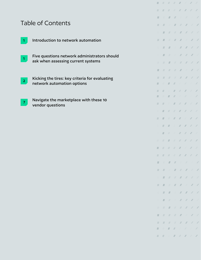# Table of Contents

vendor questions

 $\left|I_{\pm}\right\rangle$ 

|                | Introduction to network automation                                                 |
|----------------|------------------------------------------------------------------------------------|
|                | Five questions network administrators should<br>ask when assessing current systems |
| 2 <sup>1</sup> | Kicking the tires: key criteria for evaluating<br>network automation options       |
|                | Navigate the marketplace with these 10                                             |

 $\Box$ D  $\overline{\phantom{a}}$  $\overline{\mathcal{N}}$  $\sqrt{2}$  $\overline{\mathcal{L}}$ 1  $\mathcal{L}^{\mathcal{L}}$  $\overline{\phantom{a}}$  $\mathcal{L}^{\prime}$  $\mathcal{N}$  $\sqrt{2}$  $\sqrt{2}$  $\overline{\phantom{a}}$  $\sqrt{2}$  $\mathcal{N}$  $\sqrt{2}$  $\sqrt{2}$  $\mathcal{L}^{\mathcal{L}}_{\mathcal{L}}(\mathcal{L}^{\mathcal{L}}_{\mathcal{L}}(\mathcal{L}^{\mathcal{L}}_{\mathcal{L}}))\otimes \mathcal{L}^{\mathcal{L}}_{\mathcal{L}}(\mathcal{L}^{\mathcal{L}}_{\mathcal{L}}(\mathcal{L}^{\mathcal{L}}_{\mathcal{L}}))\otimes \mathcal{L}^{\mathcal{L}}_{\mathcal{L}}(\mathcal{L}^{\mathcal{L}}_{\mathcal{L}}(\mathcal{L}^{\mathcal{L}}_{\mathcal{L}}))\otimes \mathcal{L}^{\mathcal{L}}_{\mathcal{L}}(\mathcal{L}^{\$  $\sqrt{2}$  $\overline{\mathscr{N}}$  $\overline{\mathcal{L}}$  $\sqrt{2}$  $\mathcal{N}$  $\overline{\mu}$  $\overline{\mathcal{L}}$  $\overline{\mathscr{N}}$  $\mathcal{A}$  $\sqrt{2}$  $\overline{\phantom{a}}$  $\overline{\mathbb{Z}}$  $\overline{\phantom{a}}$ Л  $\sqrt{2}$  $\mathcal{L}$  $\overline{\phantom{a}}$  $\overline{\mathcal{M}}$  $\overline{\mathcal{M}}$  $\overline{\mathcal{L}}$  $\mathbb Z$  $\mathbb Z$  $\overline{\phantom{a}}$  $\overline{\mathbb{Z}}$  $\mathcal{L}$  $\overline{\phantom{a}}$  $\sqrt{2}$  $\mathcal{L}$  $\mathbb{Z}$ D  $\overline{\phantom{a}}$  $\mathcal{J}$  $\sqrt{2}$  $\sqrt{2}$  $\overline{\mathbb{Z}}$  $\overline{\phantom{a}}$ F  $\overline{\mathcal{A}}$  $\mathcal{L}^{\prime}$  $\mathcal{N}$  $\sqrt{2}$  $\overline{\phantom{a}}$  $\overline{a}$  $\overline{\mathbb{Z}}$  $\mathbb Z$  $\sqrt{2}$  $\overline{\mathbb{Z}}$  $\overline{\phantom{a}}$ D  $\overline{\phantom{a}}$  $\overline{\mathcal{L}}$  $\mathcal{L}$  $\overline{\mathbb{Z}}$  $\mathbb Z$  $\overline{\phantom{a}}$  $\sqrt{2}$  $\overline{\phantom{a}}$  $\mathcal{L}^{\prime\prime}$  $\mathcal{A}$ Í  $\sqrt{2}$  $\sqrt{2}$  $\sqrt{2}$  $\mathcal{N}$  $\mathcal{N}$ D  $\overline{\phantom{a}}$  $\sqrt{2}$  $\mathcal{N}$  $\mathcal{N}$  $\overline{\mathbb{Z}}$  $\mathbb Z$  $\overline{\phantom{a}}$  $\sqrt{2}$  $\mathcal{J}$  $\label{eq:1}$  $\sqrt{2}$  $\mathbb Z$  $\mathcal{N}$  $\overline{\mathbb{Z}}$  $\equiv$  $\sqrt{2}$  $\overline{\mathcal{M}}$  $\mathcal{L}$  $\mathbb Z$  $\overline{\phantom{a}}$  $\overline{\mathcal{N}}$ 

 $\overline{\phantom{a}}$ 

 $\mathcal{L}$ 

D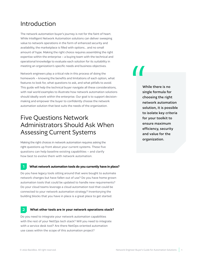# Introduction

The network automation buyer's journey is not for the faint of heart. While Intelligent Network Automation solutions can deliver sweeping value to network operations in the form of enhanced security and availability, the marketplace is filled with options... and no small amount of hype. Making the right choice requires assembling the right expertise within the enterprise – a buying team with the technical and operational knowledge to evaluate each solution for its suitability in meeting an organization's specific needs and business objectives.

Network engineers play a critical role in this process of doing the homework – knowing the benefits and limitations of each option, what features to look for, what questions to ask, and what pitfalls to avoid. This guide will help the technical buyer navigate all these considerations, with real world examples to illustrate how network automation solutions should ideally work within the enterprise. Our goal is to support decisionmaking and empower the buyer to confidently choose the network automation solution that best suits the needs of the organization.

# Five Questions Network Administrators Should Ask When Assessing Current Systems

Making the right choices in network automation requires asking the right questions up front about your current systems. These five questions can help baseline existing capabilities – and clarify how best to evolve them with network automation.

### **What network automation tools do you currently have in place?**

Do you have legacy tools sitting around that were bought to automate network changes but have fallen out of use? Do you have home grown automation tools that could be updated to handle new requirements? Do your cloud teams leverage a cloud automation tool that could be connected to your network automation strategy? Inventorying the building blocks that you have in place is a great place to get started.

### **What other tools are in your network operations stack? 2**

Do you need to integrate your network automation capabilities with the rest of your NetOps tech stack? Will you need to integrate with a service desk tool? Are there NetOps-oriented automation use cases within the scope of this automation project?

W<br>W<br>sin<br>ch<br>ne

While there is no single formula for choosing the right network automation solution, it is possible to isolate key criteria for your toolkit to ensure maximum efficiency, security and value for the organization.

**1**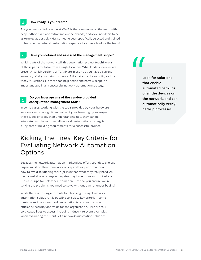### **How ready is your team?**

**3**

Are you overstaffed or understaffed? Is there someone on the team with deep Python skills and extra time on their hands, or do you need this to be as turnkey as possible? Has someone been specifically selected and trained to become the network automation expert or to act as a lead for the team?

### **4 Have you defined and assessed the management scope?**

Which parts of the network will this automation project touch? Are all of those parts routable from a single location? What kinds of devices are present? Which versions of TCP/IP are in use? Do you have a current inventory of all your network devices? How standard are configurations today? Questions like these can help define and narrow scope, an important step in any successful network automation strategy.

### **5 Do you leverage any of the vendor-provided configuration management tools?**

In some cases, working with the tools provided by your hardware vendors can offer significant value. If your team highly leverages these types of tools, then understanding how they can be integrated within your overall network automation strategy is a key part of building requirements for a successful project.

# Kicking The Tires: Key Criteria for Evaluating Network Automation **Options**

Because the network automation marketplace offers countless choices, buyers must do their homework on capabilities, performance and how to avoid solutioning more (or less) than what they really need. As mentioned above, a large enterprise may have thousands of tasks or use cases ripe for network automation. How do you ensure you're solving the problems you need to solve without over or under-buying?

While there is no single formula for choosing the right network automation solution, it is possible to isolate key criteria – some must-haves in your network automation to ensure maximum efficiency, security and value for the organization. Here are four core capabilities to assess, including industry-relevant examples, when evaluating the merits of a network automation solution:

I Look for solutions that enable automated backups of all the devices on the network, and can automatically verify backup processes.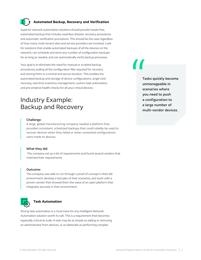# **Automated Backup, Recovery and Verification**

Superior network automation solutions should provide hassle-free, automated backup that includes seamless disaster recovery procedures and automatic verification procedures. This should be the case regardless of how many multi-tenant sites and service providers are involved. Look for solutions that enable automated backups of all the devices on the network, can schedule and store any number of configuration backups for as long as needed, and can automatically verify backup processes.

Your goal is to eliminate the need for manual or scripted backup procedures, pulling all the configuration files required for recovery and storing them in a central and secure location. This enables the automated backup and storage of device configurations, single-click recovery, real-time inventory management, custom task automation, and pre-emptive health checks for all your critical devices.

# Industry Example: Backup and Recovery

### Challenge:

A large, global manufacturing company needed a platform that provided consistent, scheduled backups that could reliably be used to recover devices when they failed or when unwanted configurations were made to devices.

### What they did:

The company set up a list of requirements and found several vendors that matched their requirements.

### Outcome:

The company was able to run through a proof of concept in their lab environment, develop a test plan of their scenarios, and work with a proven vendor that showed them the value of an open platform that integrates securely in their environment.



### **Task Automation**

Strong task automation is a must-have for any Intelligent Network Automation solution worth its salt. This is a requirement that becomes especially critical at scale. A task may be as simple as adding or removing an administrator from devices, or as elaborate as performing complex

T<sub>te</sub> Table

Tasks quickly become unmanageable in scenarios where you need to push a configuration to a large number of multi-vendor devices.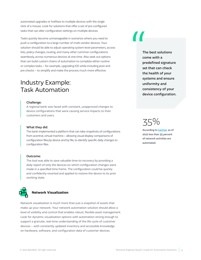automated upgrades or hotfixes to multiple devices with the single click of a mouse. Look for solutions that offer a set of pre-configured tasks that can alter configuration settings on multiple devices.

Tasks quickly become unmanageable in scenarios where you need to push a configuration to a large number of multi-vendor devices. Your solution should be able to adjust operating system level parameters, access lists, policy changes, routing, and many other common configurations seamlessly, across numerous devices at one time. Also seek out options that can build custom chains of automation to complete either routine or complex tasks – for example, upgrading IOS while including post and pre checks – to simplify and make the process much more effective.

# Industry Example: Task Automation

### Challenge:

A regional bank was faced with constant, unapproved changes to device configurations that were causing service impacts to their customers and users.

### What they did:

The bank implemented a platform that can take snapshots of configurations from acentral, virtual machine – allowing visual display comparisons of configuration files,by device and by file, to identify specific daily changes to configuration files.

### Outcome:

The tool was able to save valuable time-to-recovery by providing a daily report of only the devices on which configuration changes were made in a specified time frame. The configuration could be quickly and confidently reverted and applied to restore the device to its prior working state.



### **Network Visualization**

Network visualization is much more than just a snapshot of assets that make up your network. Your network automation solution should allow a level of visibility and control that enables robust, flexible asset management. Look for dynamic visualization options with automation strong enough to support a granular, real-time understanding of the life cycle of customer devices – with constantly updated inventory and accessible knowledge on hardware, software, and configuration data of customer devices.

# TH TH CC PH

The best solutions come with a predefined signature set that can check the health of your systems and ensure uniformity and consistency of your device configuration.

35%

According to **[Gartner](https://blogs.gartner.com/andrew-lerner/2022/02/27/the-state-of-network-automation-in-2022/)**, as of 2022 less than 35 percent of network activities are automated.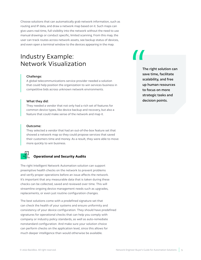Choose solutions that can automatically grab network information, such as routing and IP data, and draw a network map based on it. Such maps can give users real-time, full visibility into the network without the need to use manual drawings or conduct specific, limited scanning. From this map, the user can track routes across network assets, see backup status of devices, and even open a terminal window to the devices appearing in the map.

# Industry Example: Network Visualization

### Challenge:

A global telecommunications service provider needed a solution that could help position the organization to win services business in competitive bids across unknown network environments.

### What they did:

They needed a vendor that not only had a rich set of features for common device types, like device backup and recovery, but also a feature that could make sense of the network and map it.

### Outcome:

They selected a vendor that had an out-of-the-box feature set that showed a network map so they could propose services that saved their customers time and money. As a result, they were able to move more quickly to win business.



## **Operational and Security Audits**

The right Intelligent Network Automation solution can support preemptive health checks on the network to prevent problems and verify proper operations before an issue affects the network. It's important that any measurable data that is taken during these checks can be collected, saved and reviewed over time. This will streamline ongoing device management needs such as upgrades, replacements, or even just routine configuration changes.

The best solutions come with a predefined signature set that can check the health of your systems and ensure uniformity and consistency of your device configuration. They should have predefined signatures for operational checks that can help you comply with company or industry policy standards, as well as auto-remediate nonstandard configuration. And make sure your solution choice can perform checks on the application level, since this allows for much deeper intelligence than would otherwise be available.

TH<br>TH<br>Sa Sc<br>Sc<br>Sc<br>Th The right solution can save time, facilitate scalability, and free up human resources to focus on more strategic tasks and decision points.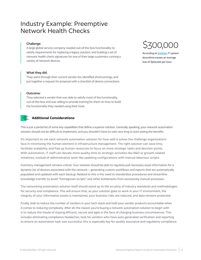# Industry Example: Preemptive Network Health Checks

### Challenge:

A large global service company needed out-of-the-box functionality to satisfy requirements for replacing a legacy solution, and building a set of network health check signatures for one of their large customers running a variety of network devices.

### What they did:

They went through their current vendor list, identified shortcomings, and put together a request for proposal with a checklist of device connections.

### Outcome:

They selected a vendor that was able to satisfy most of the functionality out-of-the-box and was willing to provide training for them on how to build the functionality they needed using their tools.

### **Additional Considerations**

This is just a partial list of some key capabilities that define a superior solution. Generally speaking, your network automation solution should not be difficult to implement, and you shouldn't have to wait very long to start seeing the benefits.

It's important to vet each network automation solution for how well it solves the challenge organizations face in minimizing the human element in infrastructure management. The right solution can save time, facilitate scalability, and free up human resources to focus on more strategic tasks and decision points. With automation, IT staff can devote more quality time to strategic activities like R&D or growth-related initiatives, instead of administrative work like updating configurations with manual laborious scripts.

Inventory management remains critical. Your solution should be able to regularly pull necessary asset information for a dynamic list of devices associated with the network – generating custom workflows and reports that are automatically populated and updated with each backup. Related to this is the need to standardize procedures and streamline knowledge transfer to avoid "homegrown scripts" and other bottlenecks from excessively manual processes.

The networking automation solution itself should stand up to the scrutiny of industry standards and methodologies for security and compliance. This will ensure that, as your solution goes to work in your IT environment, the integrity of your information assets is maintained, your business risks are reduced, and data remains protected.

Finally, look to reduce the number of vendors in your tech stack and hold your vendor products accountable when it comes to reducing complexity. After all, the reason you're buying a network automation solution to begin with is to reduce the hassle of staying efficient, secure and agile in the face of changing business circumstances. This includes eliminating compliance headaches; look for vendors who have auto-generated verification and reporting to ensure an automation task was successful; this is especially key for quality assurance and regulatory compliance.



According to **Gartner**, IT system downtime causes an average loss of \$300,000 per hour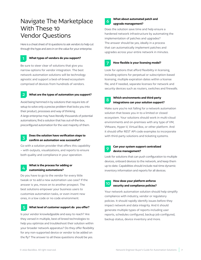# Navigate The Marketplace With These 10 Vendor Questions

Here is a cheat sheet of 10 questions to ask vendors to help cut through the hype and zero in on the value for your enterprise.



### **What types of vendors do you support?**

Be sure to steer clear of solutions that give you narrow options for vendor integration. The best network automation solutions will be technology agnostic and support a best-of-breed ecosystem comprised of devices from hundreds of vendors.

**2**

**4**

### **What are the types of automation you support?**

Avoid being hemmed in by solutions that require lots of setup to solve only a precise problem that locks you into their product, processes and way of thinking. A large enterprise may have literally thousands of potential automations; find a solution that has out-of-the-box, preconfigured automation for the vast majority of them.

### **Does the solution have verification steps to confirm an automation was successful? 3**

Go with a solution provider that offers this capability – with outputs, visualizations, and reports to ensure both quality and compliance in your operation.

### **What is the process for adding or customizing automations?**

Do you have to go to the vendor for every little tweak or to add a new automation use case? If the answer is yes, move on to another prospect. The best solutions empower your business users to customize automation tasks, or even invent new ones, in a low code or no code environment.

### **What level of customer support do you offer? 5**

Is your vendor knowledgeable and easy to reach? Are they versed in multiple, best-of-breed technologies to help you optimize and troubleshoot their solution within your broader network apparatus? Do they offer flexibility for any non-supported device or vendor to be added on the fly? The answer to all these questions should be yes.



### **What about automated patch and upgrade management?**

Does the solution save time and help ensure a hardened network infrastructure by automating the implementation of patches and upgrades? The answer should be yes, ideally in a process that can automatically implement patches and upgrades across your entire network in minutes.



### **How flexible is your licensing model?**

Look for options that afford flexibility in licensing, including options for perpetual or subscription-based licensing; multiple expiration dates within a license file; and if needed, separate licenses for network and security devices such as routers, switches and firewalls.

**8**

### **Which environments and third-party integrations can your solution support?**

Make sure you're not falling for a network automation solution that boxes you in to a limited or closed ecosystem. Your solutions should work in multi-cloud environments and on-premises with any type of VM, VMware, Hyper-V, Virtual Box, or other platform. And it should offer REST API code examples to incorporate with third-party solutions and ticketing systems.

### **Can your system support centralized device management? 9**

Look for solutions that can push configuration to multiple devices, onboard devices to the network, and keep them up to date. Capabilities should include real-time dynamic inventory information and reports for all devices.

| Hov  |  |  |
|------|--|--|
| -001 |  |  |

### **How does your platform enforce security and compliance policies?**

Your network automation solution should help simplify compliance with industry, vendor or regulatory policies. It should rapidly identify issues before they impact network and data integrity. And it should generate multiple types of reports including user reports, schedules configured, backup job configured, backup status, device inventory and more.